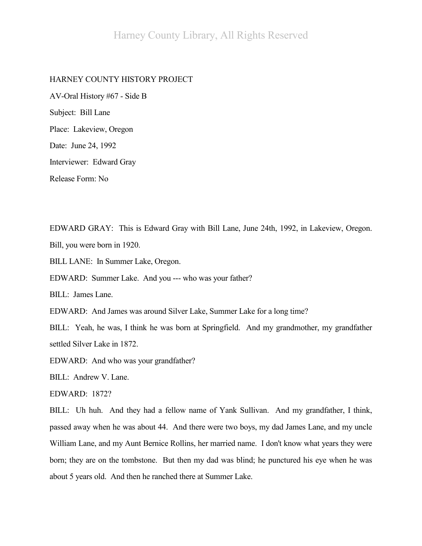## HARNEY COUNTY HISTORY PROJECT

AV-Oral History #67 - Side B Subject: Bill Lane Place: Lakeview, Oregon Date: June 24, 1992 Interviewer: Edward Gray Release Form: No

EDWARD GRAY: This is Edward Gray with Bill Lane, June 24th, 1992, in Lakeview, Oregon. Bill, you were born in 1920.

BILL LANE: In Summer Lake, Oregon.

EDWARD: Summer Lake. And you --- who was your father?

BILL: James Lane.

EDWARD: And James was around Silver Lake, Summer Lake for a long time?

BILL: Yeah, he was, I think he was born at Springfield. And my grandmother, my grandfather settled Silver Lake in 1872.

EDWARD: And who was your grandfather?

BILL: Andrew V. Lane.

EDWARD: 1872?

BILL: Uh huh. And they had a fellow name of Yank Sullivan. And my grandfather, I think, passed away when he was about 44. And there were two boys, my dad James Lane, and my uncle William Lane, and my Aunt Bernice Rollins, her married name. I don't know what years they were born; they are on the tombstone. But then my dad was blind; he punctured his eye when he was about 5 years old. And then he ranched there at Summer Lake.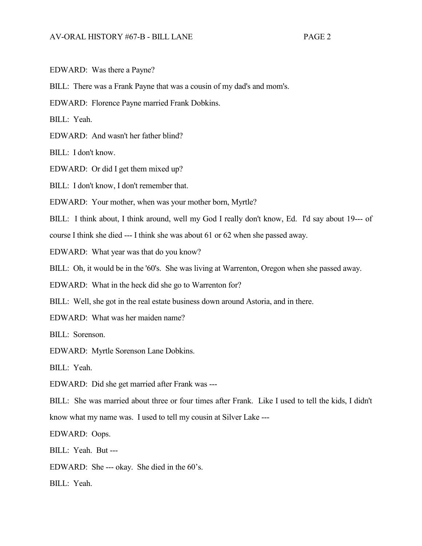EDWARD: Was there a Payne?

BILL: There was a Frank Payne that was a cousin of my dad's and mom's.

EDWARD: Florence Payne married Frank Dobkins.

BILL: Yeah.

EDWARD: And wasn't her father blind?

BILL: I don't know.

EDWARD: Or did I get them mixed up?

BILL: I don't know, I don't remember that.

EDWARD: Your mother, when was your mother born, Myrtle?

BILL: I think about, I think around, well my God I really don't know, Ed. I'd say about 19--- of

course I think she died --- I think she was about 61 or 62 when she passed away.

EDWARD: What year was that do you know?

BILL: Oh, it would be in the '60's. She was living at Warrenton, Oregon when she passed away.

EDWARD: What in the heck did she go to Warrenton for?

BILL: Well, she got in the real estate business down around Astoria, and in there.

EDWARD: What was her maiden name?

BILL: Sorenson.

EDWARD: Myrtle Sorenson Lane Dobkins.

BILL: Yeah.

EDWARD: Did she get married after Frank was ---

BILL: She was married about three or four times after Frank. Like I used to tell the kids, I didn't know what my name was. I used to tell my cousin at Silver Lake ---

EDWARD: Oops.

BILL: Yeah. But ---

EDWARD: She --- okay. She died in the 60's.

BILL: Yeah.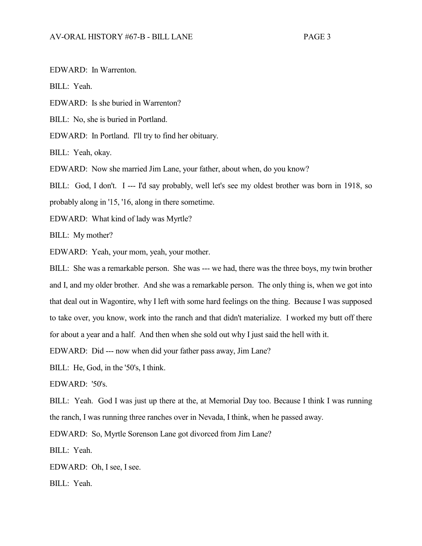EDWARD: In Warrenton.

BILL: Yeah.

EDWARD: Is she buried in Warrenton?

BILL: No, she is buried in Portland.

EDWARD: In Portland. I'll try to find her obituary.

BILL: Yeah, okay.

EDWARD: Now she married Jim Lane, your father, about when, do you know?

BILL: God, I don't. I --- I'd say probably, well let's see my oldest brother was born in 1918, so probably along in '15, '16, along in there sometime.

EDWARD: What kind of lady was Myrtle?

BILL: My mother?

EDWARD: Yeah, your mom, yeah, your mother.

BILL: She was a remarkable person. She was --- we had, there was the three boys, my twin brother and I, and my older brother. And she was a remarkable person. The only thing is, when we got into that deal out in Wagontire, why I left with some hard feelings on the thing. Because I was supposed to take over, you know, work into the ranch and that didn't materialize. I worked my butt off there for about a year and a half. And then when she sold out why I just said the hell with it.

EDWARD: Did --- now when did your father pass away, Jim Lane?

BILL: He, God, in the '50's, I think.

EDWARD: '50's.

BILL: Yeah. God I was just up there at the, at Memorial Day too. Because I think I was running the ranch, I was running three ranches over in Nevada, I think, when he passed away.

EDWARD: So, Myrtle Sorenson Lane got divorced from Jim Lane?

BILL: Yeah.

EDWARD: Oh, I see, I see.

BILL: Yeah.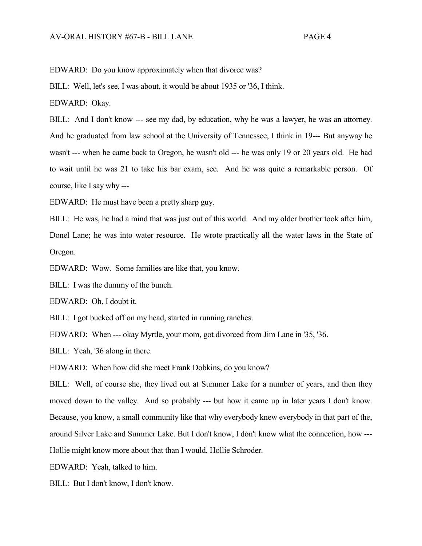EDWARD: Do you know approximately when that divorce was?

BILL: Well, let's see, I was about, it would be about 1935 or '36, I think.

EDWARD: Okay.

BILL: And I don't know --- see my dad, by education, why he was a lawyer, he was an attorney. And he graduated from law school at the University of Tennessee, I think in 19--- But anyway he wasn't --- when he came back to Oregon, he wasn't old --- he was only 19 or 20 years old. He had to wait until he was 21 to take his bar exam, see. And he was quite a remarkable person. Of course, like I say why ---

EDWARD: He must have been a pretty sharp guy.

BILL: He was, he had a mind that was just out of this world. And my older brother took after him, Donel Lane; he was into water resource. He wrote practically all the water laws in the State of Oregon.

EDWARD: Wow. Some families are like that, you know.

BILL: I was the dummy of the bunch.

EDWARD: Oh, I doubt it.

BILL: I got bucked off on my head, started in running ranches.

EDWARD: When --- okay Myrtle, your mom, got divorced from Jim Lane in '35, '36.

BILL: Yeah, '36 along in there.

EDWARD: When how did she meet Frank Dobkins, do you know?

BILL: Well, of course she, they lived out at Summer Lake for a number of years, and then they moved down to the valley. And so probably --- but how it came up in later years I don't know. Because, you know, a small community like that why everybody knew everybody in that part of the, around Silver Lake and Summer Lake. But I don't know, I don't know what the connection, how --- Hollie might know more about that than I would, Hollie Schroder.

EDWARD: Yeah, talked to him.

BILL: But I don't know, I don't know.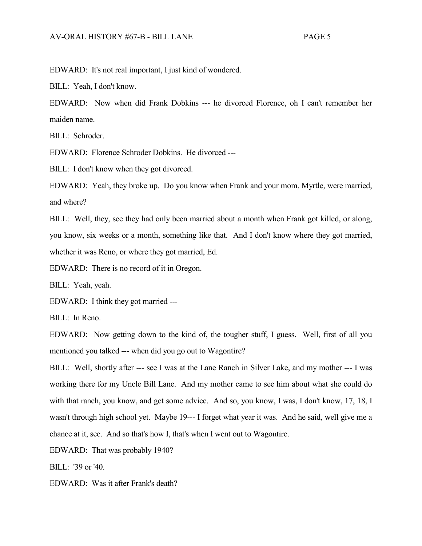EDWARD: It's not real important, I just kind of wondered.

BILL: Yeah, I don't know.

EDWARD: Now when did Frank Dobkins --- he divorced Florence, oh I can't remember her maiden name.

BILL: Schroder.

EDWARD: Florence Schroder Dobkins. He divorced ---

BILL: I don't know when they got divorced.

EDWARD: Yeah, they broke up. Do you know when Frank and your mom, Myrtle, were married, and where?

BILL: Well, they, see they had only been married about a month when Frank got killed, or along, you know, six weeks or a month, something like that. And I don't know where they got married, whether it was Reno, or where they got married, Ed.

EDWARD: There is no record of it in Oregon.

BILL: Yeah, yeah.

EDWARD: I think they got married ---

BILL: In Reno.

EDWARD: Now getting down to the kind of, the tougher stuff, I guess. Well, first of all you mentioned you talked --- when did you go out to Wagontire?

BILL: Well, shortly after --- see I was at the Lane Ranch in Silver Lake, and my mother --- I was working there for my Uncle Bill Lane. And my mother came to see him about what she could do with that ranch, you know, and get some advice. And so, you know, I was, I don't know, 17, 18, I wasn't through high school yet. Maybe 19--- I forget what year it was. And he said, well give me a chance at it, see. And so that's how I, that's when I went out to Wagontire.

EDWARD: That was probably 1940?

BILL: '39 or '40.

EDWARD: Was it after Frank's death?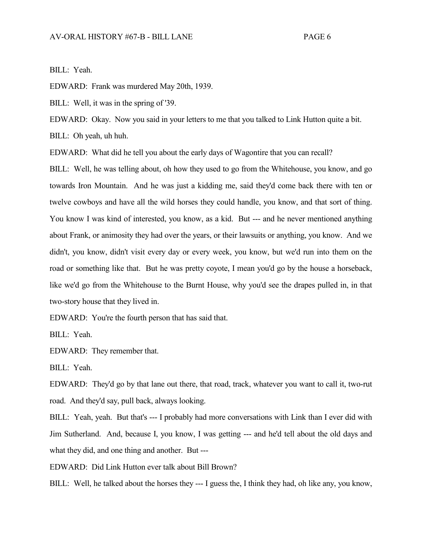BILL: Yeah.

EDWARD: Frank was murdered May 20th, 1939.

BILL: Well, it was in the spring of '39.

EDWARD: Okay. Now you said in your letters to me that you talked to Link Hutton quite a bit.

BILL: Oh yeah, uh huh.

EDWARD: What did he tell you about the early days of Wagontire that you can recall?

BILL: Well, he was telling about, oh how they used to go from the Whitehouse, you know, and go towards Iron Mountain. And he was just a kidding me, said they'd come back there with ten or twelve cowboys and have all the wild horses they could handle, you know, and that sort of thing. You know I was kind of interested, you know, as a kid. But --- and he never mentioned anything about Frank, or animosity they had over the years, or their lawsuits or anything, you know. And we didn't, you know, didn't visit every day or every week, you know, but we'd run into them on the road or something like that. But he was pretty coyote, I mean you'd go by the house a horseback, like we'd go from the Whitehouse to the Burnt House, why you'd see the drapes pulled in, in that two-story house that they lived in.

EDWARD: You're the fourth person that has said that.

BILL: Yeah.

EDWARD: They remember that.

BILL: Yeah.

EDWARD: They'd go by that lane out there, that road, track, whatever you want to call it, two-rut road. And they'd say, pull back, always looking.

BILL: Yeah, yeah. But that's --- I probably had more conversations with Link than I ever did with Jim Sutherland. And, because I, you know, I was getting --- and he'd tell about the old days and what they did, and one thing and another. But ---

EDWARD: Did Link Hutton ever talk about Bill Brown?

BILL: Well, he talked about the horses they --- I guess the, I think they had, oh like any, you know,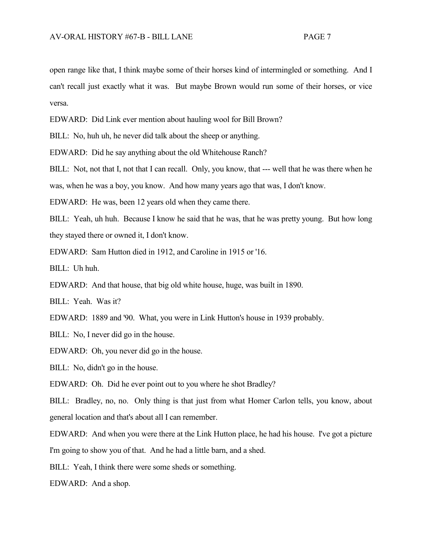open range like that, I think maybe some of their horses kind of intermingled or something. And I can't recall just exactly what it was. But maybe Brown would run some of their horses, or vice versa.

EDWARD: Did Link ever mention about hauling wool for Bill Brown?

BILL: No, huh uh, he never did talk about the sheep or anything.

EDWARD: Did he say anything about the old Whitehouse Ranch?

BILL: Not, not that I, not that I can recall. Only, you know, that --- well that he was there when he

was, when he was a boy, you know. And how many years ago that was, I don't know.

EDWARD: He was, been 12 years old when they came there.

BILL: Yeah, uh huh. Because I know he said that he was, that he was pretty young. But how long they stayed there or owned it, I don't know.

EDWARD: Sam Hutton died in 1912, and Caroline in 1915 or '16.

BILL: Uh huh.

EDWARD: And that house, that big old white house, huge, was built in 1890.

BILL: Yeah. Was it?

EDWARD: 1889 and '90. What, you were in Link Hutton's house in 1939 probably.

BILL: No, I never did go in the house.

EDWARD: Oh, you never did go in the house.

BILL: No, didn't go in the house.

EDWARD: Oh. Did he ever point out to you where he shot Bradley?

BILL: Bradley, no, no. Only thing is that just from what Homer Carlon tells, you know, about general location and that's about all I can remember.

EDWARD: And when you were there at the Link Hutton place, he had his house. I've got a picture I'm going to show you of that. And he had a little barn, and a shed.

BILL: Yeah, I think there were some sheds or something.

EDWARD: And a shop.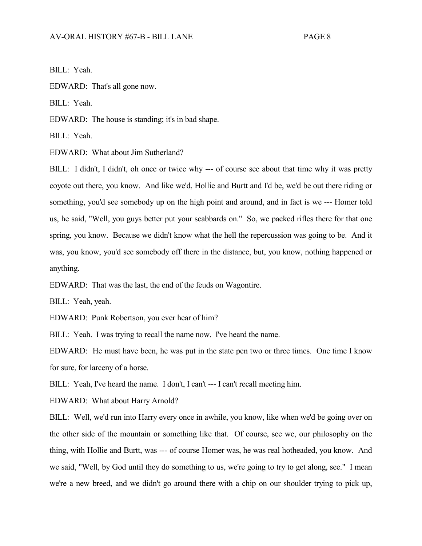BILL: Yeah.

EDWARD: That's all gone now.

BILL: Yeah.

EDWARD: The house is standing; it's in bad shape.

BILL: Yeah.

EDWARD: What about Jim Sutherland?

BILL: I didn't, I didn't, oh once or twice why --- of course see about that time why it was pretty coyote out there, you know. And like we'd, Hollie and Burtt and I'd be, we'd be out there riding or something, you'd see somebody up on the high point and around, and in fact is we --- Homer told us, he said, "Well, you guys better put your scabbards on." So, we packed rifles there for that one spring, you know. Because we didn't know what the hell the repercussion was going to be. And it was, you know, you'd see somebody off there in the distance, but, you know, nothing happened or anything.

EDWARD: That was the last, the end of the feuds on Wagontire.

BILL: Yeah, yeah.

EDWARD: Punk Robertson, you ever hear of him?

BILL: Yeah. I was trying to recall the name now. I've heard the name.

EDWARD: He must have been, he was put in the state pen two or three times. One time I know for sure, for larceny of a horse.

BILL: Yeah, I've heard the name. I don't, I can't --- I can't recall meeting him.

EDWARD: What about Harry Arnold?

BILL: Well, we'd run into Harry every once in awhile, you know, like when we'd be going over on the other side of the mountain or something like that. Of course, see we, our philosophy on the thing, with Hollie and Burtt, was --- of course Homer was, he was real hotheaded, you know. And we said, "Well, by God until they do something to us, we're going to try to get along, see." I mean we're a new breed, and we didn't go around there with a chip on our shoulder trying to pick up,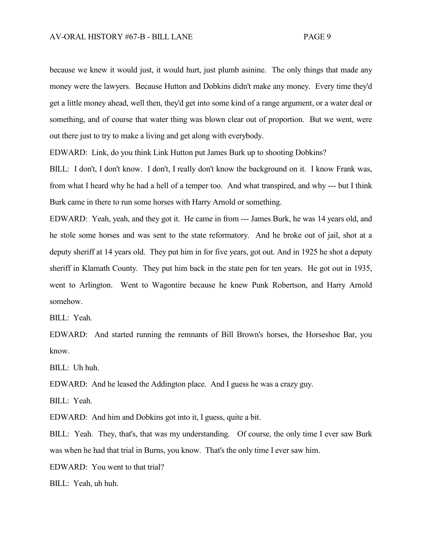because we knew it would just, it would hurt, just plumb asinine. The only things that made any money were the lawyers. Because Hutton and Dobkins didn't make any money. Every time they'd get a little money ahead, well then, they'd get into some kind of a range argument, or a water deal or something, and of course that water thing was blown clear out of proportion. But we went, were out there just to try to make a living and get along with everybody.

EDWARD: Link, do you think Link Hutton put James Burk up to shooting Dobkins?

BILL: I don't, I don't know. I don't, I really don't know the background on it. I know Frank was, from what I heard why he had a hell of a temper too. And what transpired, and why --- but I think Burk came in there to run some horses with Harry Arnold or something.

EDWARD: Yeah, yeah, and they got it. He came in from --- James Burk, he was 14 years old, and he stole some horses and was sent to the state reformatory. And he broke out of jail, shot at a deputy sheriff at 14 years old. They put him in for five years, got out. And in 1925 he shot a deputy sheriff in Klamath County. They put him back in the state pen for ten years. He got out in 1935, went to Arlington. Went to Wagontire because he knew Punk Robertson, and Harry Arnold somehow.

BILL: Yeah.

EDWARD: And started running the remnants of Bill Brown's horses, the Horseshoe Bar, you know.

BILL: Uh huh.

EDWARD: And he leased the Addington place. And I guess he was a crazy guy.

BILL: Yeah.

EDWARD: And him and Dobkins got into it, I guess, quite a bit.

BILL: Yeah. They, that's, that was my understanding. Of course, the only time I ever saw Burk was when he had that trial in Burns, you know. That's the only time I ever saw him.

EDWARD: You went to that trial?

BILL: Yeah, uh huh.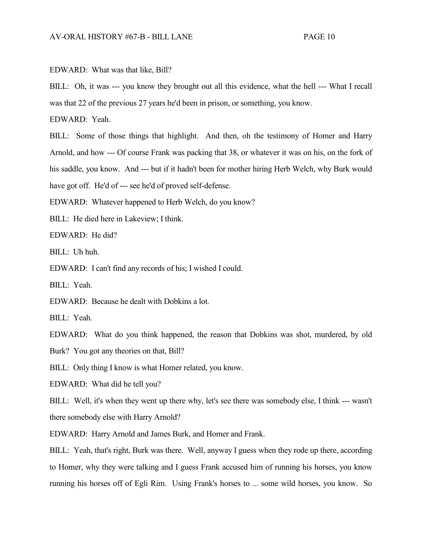EDWARD: What was that like, Bill?

BILL: Oh, it was --- you know they brought out all this evidence, what the hell --- What I recall was that 22 of the previous 27 years he'd been in prison, or something, you know.

EDWARD: Yeah.

BILL: Some of those things that highlight. And then, oh the testimony of Homer and Harry Arnold, and how --- Of course Frank was packing that 38, or whatever it was on his, on the fork of his saddle, you know. And --- but if it hadn't been for mother hiring Herb Welch, why Burk would have got off. He'd of --- see he'd of proved self-defense.

EDWARD: Whatever happened to Herb Welch, do you know?

BILL: He died here in Lakeview; I think.

EDWARD: He did?

BILL: Uh huh.

EDWARD: I can't find any records of his; I wished I could.

BILL: Yeah.

EDWARD: Because he dealt with Dobkins a lot.

BILL: Yeah.

EDWARD: What do you think happened, the reason that Dobkins was shot, murdered, by old Burk? You got any theories on that, Bill?

BILL: Only thing I know is what Homer related, you know.

EDWARD: What did he tell you?

BILL: Well, it's when they went up there why, let's see there was somebody else, I think --- wasn't there somebody else with Harry Arnold?

EDWARD: Harry Arnold and James Burk, and Homer and Frank.

BILL: Yeah, that's right, Burk was there. Well, anyway I guess when they rode up there, according to Homer, why they were talking and I guess Frank accused him of running his horses, you know running his horses off of Egli Rim. Using Frank's horses to ... some wild horses, you know. So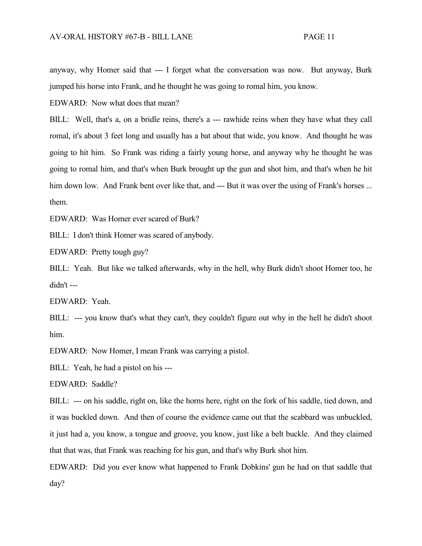anyway, why Homer said that --- I forget what the conversation was now. But anyway, Burk jumped his horse into Frank, and he thought he was going to romal him, you know.

EDWARD: Now what does that mean?

BILL: Well, that's a, on a bridle reins, there's a --- rawhide reins when they have what they call romal, it's about 3 feet long and usually has a bat about that wide, you know. And thought he was going to hit him. So Frank was riding a fairly young horse, and anyway why he thought he was going to romal him, and that's when Burk brought up the gun and shot him, and that's when he hit him down low. And Frank bent over like that, and --- But it was over the using of Frank's horses ... them.

EDWARD: Was Homer ever scared of Burk?

BILL: I don't think Homer was scared of anybody.

EDWARD: Pretty tough guy?

BILL: Yeah. But like we talked afterwards, why in the hell, why Burk didn't shoot Homer too, he didn't ---

EDWARD: Yeah.

BILL: --- you know that's what they can't, they couldn't figure out why in the hell he didn't shoot him.

EDWARD: Now Homer, I mean Frank was carrying a pistol.

BILL: Yeah, he had a pistol on his ---

EDWARD: Saddle?

BILL: --- on his saddle, right on, like the horns here, right on the fork of his saddle, tied down, and it was buckled down. And then of course the evidence came out that the scabbard was unbuckled, it just had a, you know, a tongue and groove, you know, just like a belt buckle. And they claimed that that was, that Frank was reaching for his gun, and that's why Burk shot him.

EDWARD: Did you ever know what happened to Frank Dobkins' gun he had on that saddle that day?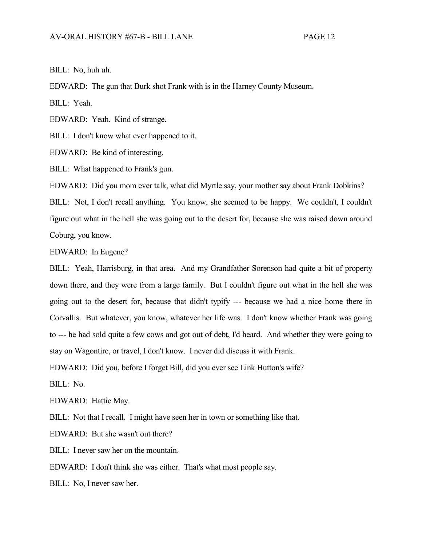BILL: No, huh uh.

EDWARD: The gun that Burk shot Frank with is in the Harney County Museum.

BILL: Yeah.

EDWARD: Yeah. Kind of strange.

BILL: I don't know what ever happened to it.

EDWARD: Be kind of interesting.

BILL: What happened to Frank's gun.

EDWARD: Did you mom ever talk, what did Myrtle say, your mother say about Frank Dobkins?

BILL: Not, I don't recall anything. You know, she seemed to be happy. We couldn't, I couldn't figure out what in the hell she was going out to the desert for, because she was raised down around Coburg, you know.

EDWARD: In Eugene?

BILL: Yeah, Harrisburg, in that area. And my Grandfather Sorenson had quite a bit of property down there, and they were from a large family. But I couldn't figure out what in the hell she was going out to the desert for, because that didn't typify --- because we had a nice home there in Corvallis. But whatever, you know, whatever her life was. I don't know whether Frank was going to --- he had sold quite a few cows and got out of debt, I'd heard. And whether they were going to stay on Wagontire, or travel, I don't know. I never did discuss it with Frank.

EDWARD: Did you, before I forget Bill, did you ever see Link Hutton's wife?

BILL: No.

EDWARD: Hattie May.

BILL: Not that I recall. I might have seen her in town or something like that.

EDWARD: But she wasn't out there?

BILL: I never saw her on the mountain.

EDWARD: I don't think she was either. That's what most people say.

BILL: No, I never saw her.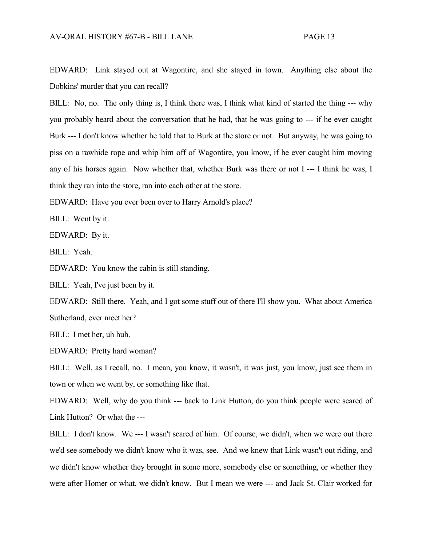EDWARD: Link stayed out at Wagontire, and she stayed in town. Anything else about the Dobkins' murder that you can recall?

BILL: No, no. The only thing is, I think there was, I think what kind of started the thing --- why you probably heard about the conversation that he had, that he was going to --- if he ever caught Burk --- I don't know whether he told that to Burk at the store or not. But anyway, he was going to piss on a rawhide rope and whip him off of Wagontire, you know, if he ever caught him moving any of his horses again. Now whether that, whether Burk was there or not I --- I think he was, I think they ran into the store, ran into each other at the store.

EDWARD: Have you ever been over to Harry Arnold's place?

BILL: Went by it.

EDWARD: By it.

BILL: Yeah.

EDWARD: You know the cabin is still standing.

BILL: Yeah, I've just been by it.

EDWARD: Still there. Yeah, and I got some stuff out of there I'll show you. What about America Sutherland, ever meet her?

BILL: I met her, uh huh.

EDWARD: Pretty hard woman?

BILL: Well, as I recall, no. I mean, you know, it wasn't, it was just, you know, just see them in town or when we went by, or something like that.

EDWARD: Well, why do you think --- back to Link Hutton, do you think people were scared of Link Hutton? Or what the ---

BILL: I don't know. We --- I wasn't scared of him. Of course, we didn't, when we were out there we'd see somebody we didn't know who it was, see. And we knew that Link wasn't out riding, and we didn't know whether they brought in some more, somebody else or something, or whether they were after Homer or what, we didn't know. But I mean we were --- and Jack St. Clair worked for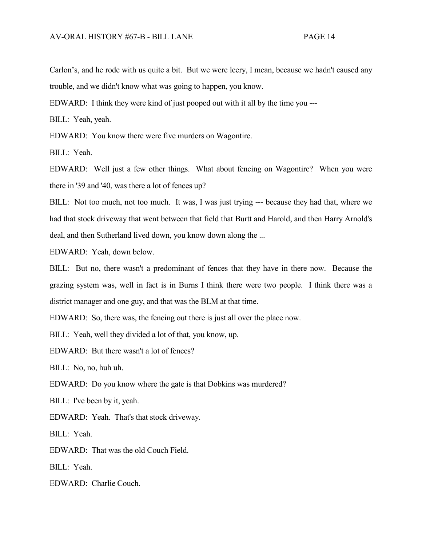Carlon's, and he rode with us quite a bit. But we were leery, I mean, because we hadn't caused any trouble, and we didn't know what was going to happen, you know.

EDWARD: I think they were kind of just pooped out with it all by the time you ---

BILL: Yeah, yeah.

EDWARD: You know there were five murders on Wagontire.

BILL: Yeah.

EDWARD: Well just a few other things. What about fencing on Wagontire? When you were there in '39 and '40, was there a lot of fences up?

BILL: Not too much, not too much. It was, I was just trying --- because they had that, where we had that stock driveway that went between that field that Burtt and Harold, and then Harry Arnold's deal, and then Sutherland lived down, you know down along the ...

EDWARD: Yeah, down below.

BILL: But no, there wasn't a predominant of fences that they have in there now. Because the grazing system was, well in fact is in Burns I think there were two people. I think there was a district manager and one guy, and that was the BLM at that time.

EDWARD: So, there was, the fencing out there is just all over the place now.

BILL: Yeah, well they divided a lot of that, you know, up.

EDWARD: But there wasn't a lot of fences?

BILL: No, no, huh uh.

EDWARD: Do you know where the gate is that Dobkins was murdered?

BILL: I've been by it, yeah.

EDWARD: Yeah. That's that stock driveway.

BILL: Yeah.

EDWARD: That was the old Couch Field.

BILL: Yeah.

EDWARD: Charlie Couch.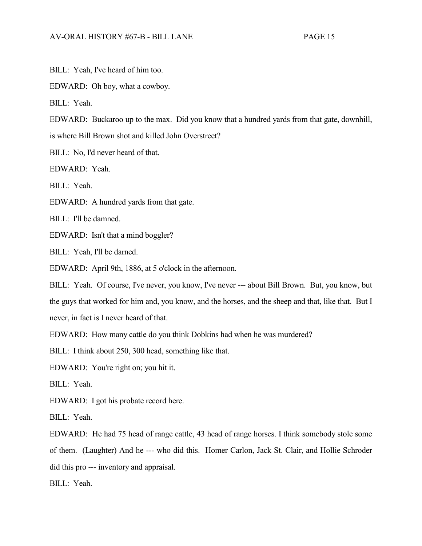BILL: Yeah, I've heard of him too.

EDWARD: Oh boy, what a cowboy.

BILL: Yeah.

EDWARD: Buckaroo up to the max. Did you know that a hundred yards from that gate, downhill,

is where Bill Brown shot and killed John Overstreet?

BILL: No, I'd never heard of that.

EDWARD: Yeah.

BILL: Yeah.

EDWARD: A hundred yards from that gate.

BILL: I'll be damned.

EDWARD: Isn't that a mind boggler?

BILL: Yeah, I'll be darned.

EDWARD: April 9th, 1886, at 5 o'clock in the afternoon.

BILL: Yeah. Of course, I've never, you know, I've never --- about Bill Brown. But, you know, but the guys that worked for him and, you know, and the horses, and the sheep and that, like that. But I never, in fact is I never heard of that.

EDWARD: How many cattle do you think Dobkins had when he was murdered?

BILL: I think about 250, 300 head, something like that.

EDWARD: You're right on; you hit it.

BILL: Yeah.

EDWARD: I got his probate record here.

BILL: Yeah.

EDWARD: He had 75 head of range cattle, 43 head of range horses. I think somebody stole some of them. (Laughter) And he --- who did this. Homer Carlon, Jack St. Clair, and Hollie Schroder did this pro --- inventory and appraisal.

BILL: Yeah.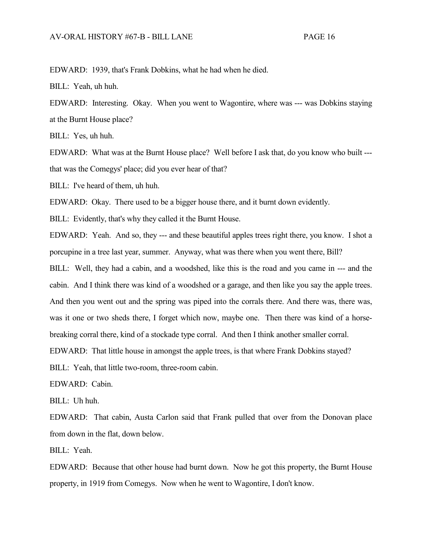EDWARD: 1939, that's Frank Dobkins, what he had when he died.

BILL: Yeah, uh huh.

EDWARD: Interesting. Okay. When you went to Wagontire, where was --- was Dobkins staying at the Burnt House place?

BILL: Yes, uh huh.

EDWARD: What was at the Burnt House place? Well before I ask that, do you know who built -- that was the Comegys' place; did you ever hear of that?

BILL: I've heard of them, uh huh.

EDWARD: Okay. There used to be a bigger house there, and it burnt down evidently.

BILL: Evidently, that's why they called it the Burnt House.

EDWARD: Yeah. And so, they --- and these beautiful apples trees right there, you know. I shot a porcupine in a tree last year, summer. Anyway, what was there when you went there, Bill?

BILL: Well, they had a cabin, and a woodshed, like this is the road and you came in --- and the cabin. And I think there was kind of a woodshed or a garage, and then like you say the apple trees. And then you went out and the spring was piped into the corrals there. And there was, there was, was it one or two sheds there, I forget which now, maybe one. Then there was kind of a horsebreaking corral there, kind of a stockade type corral. And then I think another smaller corral.

EDWARD: That little house in amongst the apple trees, is that where Frank Dobkins stayed?

BILL: Yeah, that little two-room, three-room cabin.

EDWARD: Cabin.

BILL: Uh huh.

EDWARD: That cabin, Austa Carlon said that Frank pulled that over from the Donovan place from down in the flat, down below.

BILL: Yeah.

EDWARD: Because that other house had burnt down. Now he got this property, the Burnt House property, in 1919 from Comegys. Now when he went to Wagontire, I don't know.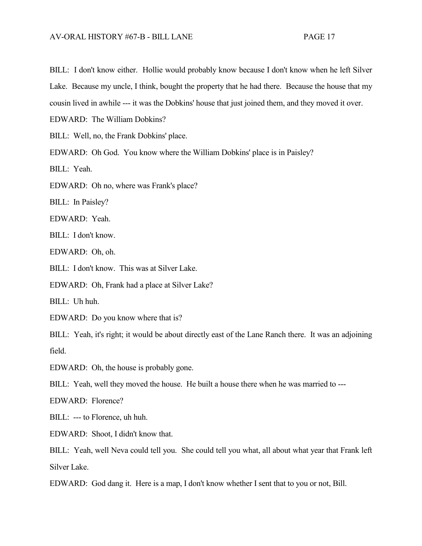BILL: I don't know either. Hollie would probably know because I don't know when he left Silver Lake. Because my uncle, I think, bought the property that he had there. Because the house that my cousin lived in awhile --- it was the Dobkins' house that just joined them, and they moved it over.

EDWARD: The William Dobkins?

BILL: Well, no, the Frank Dobkins' place.

EDWARD: Oh God. You know where the William Dobkins' place is in Paisley?

BILL: Yeah.

EDWARD: Oh no, where was Frank's place?

BILL: In Paisley?

EDWARD: Yeah.

BILL: I don't know.

EDWARD: Oh, oh.

BILL: I don't know. This was at Silver Lake.

EDWARD: Oh, Frank had a place at Silver Lake?

BILL: Uh huh.

EDWARD: Do you know where that is?

BILL: Yeah, it's right; it would be about directly east of the Lane Ranch there. It was an adjoining field.

EDWARD: Oh, the house is probably gone.

BILL: Yeah, well they moved the house. He built a house there when he was married to ---

EDWARD: Florence?

BILL: --- to Florence, uh huh.

EDWARD: Shoot, I didn't know that.

BILL: Yeah, well Neva could tell you. She could tell you what, all about what year that Frank left Silver Lake.

EDWARD: God dang it. Here is a map, I don't know whether I sent that to you or not, Bill.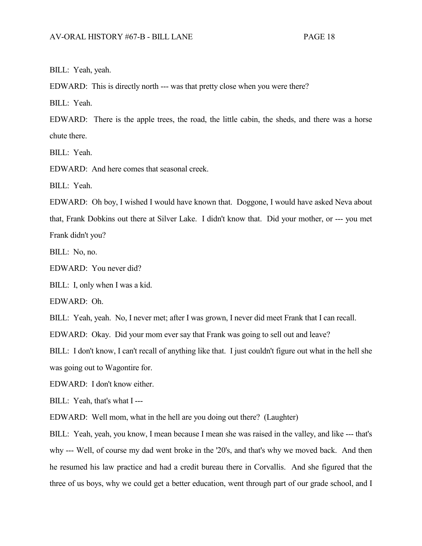BILL: Yeah, yeah.

EDWARD: This is directly north --- was that pretty close when you were there?

BILL: Yeah.

EDWARD: There is the apple trees, the road, the little cabin, the sheds, and there was a horse chute there.

BILL: Yeah.

EDWARD: And here comes that seasonal creek.

BILL: Yeah.

EDWARD: Oh boy, I wished I would have known that. Doggone, I would have asked Neva about that, Frank Dobkins out there at Silver Lake. I didn't know that. Did your mother, or --- you met Frank didn't you?

BILL: No, no.

EDWARD: You never did?

BILL: I, only when I was a kid.

EDWARD: Oh.

BILL: Yeah, yeah. No, I never met; after I was grown, I never did meet Frank that I can recall.

EDWARD: Okay. Did your mom ever say that Frank was going to sell out and leave?

BILL: I don't know, I can't recall of anything like that. I just couldn't figure out what in the hell she was going out to Wagontire for.

EDWARD: I don't know either.

BILL: Yeah, that's what I ---

EDWARD: Well mom, what in the hell are you doing out there? (Laughter)

BILL: Yeah, yeah, you know, I mean because I mean she was raised in the valley, and like --- that's why --- Well, of course my dad went broke in the '20's, and that's why we moved back. And then he resumed his law practice and had a credit bureau there in Corvallis. And she figured that the three of us boys, why we could get a better education, went through part of our grade school, and I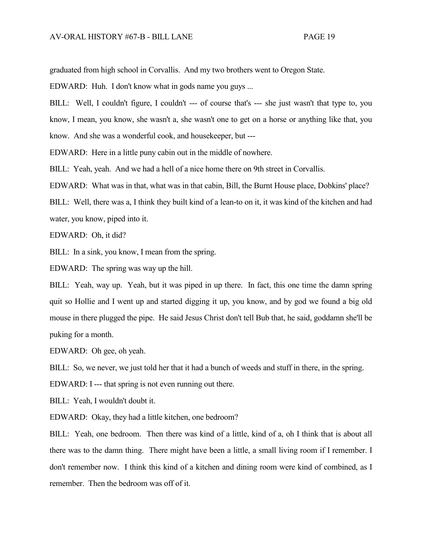graduated from high school in Corvallis. And my two brothers went to Oregon State.

EDWARD: Huh. I don't know what in gods name you guys ...

BILL: Well, I couldn't figure, I couldn't --- of course that's --- she just wasn't that type to, you know, I mean, you know, she wasn't a, she wasn't one to get on a horse or anything like that, you know. And she was a wonderful cook, and housekeeper, but ---

EDWARD: Here in a little puny cabin out in the middle of nowhere.

BILL: Yeah, yeah. And we had a hell of a nice home there on 9th street in Corvallis.

EDWARD: What was in that, what was in that cabin, Bill, the Burnt House place, Dobkins' place?

BILL: Well, there was a, I think they built kind of a lean-to on it, it was kind of the kitchen and had water, you know, piped into it.

EDWARD: Oh, it did?

BILL: In a sink, you know, I mean from the spring.

EDWARD: The spring was way up the hill.

BILL: Yeah, way up. Yeah, but it was piped in up there. In fact, this one time the damn spring quit so Hollie and I went up and started digging it up, you know, and by god we found a big old mouse in there plugged the pipe. He said Jesus Christ don't tell Bub that, he said, goddamn she'll be puking for a month.

EDWARD: Oh gee, oh yeah.

BILL: So, we never, we just told her that it had a bunch of weeds and stuff in there, in the spring.

EDWARD: I --- that spring is not even running out there.

BILL: Yeah, I wouldn't doubt it.

EDWARD: Okay, they had a little kitchen, one bedroom?

BILL: Yeah, one bedroom. Then there was kind of a little, kind of a, oh I think that is about all there was to the damn thing. There might have been a little, a small living room if I remember. I don't remember now. I think this kind of a kitchen and dining room were kind of combined, as I remember. Then the bedroom was off of it.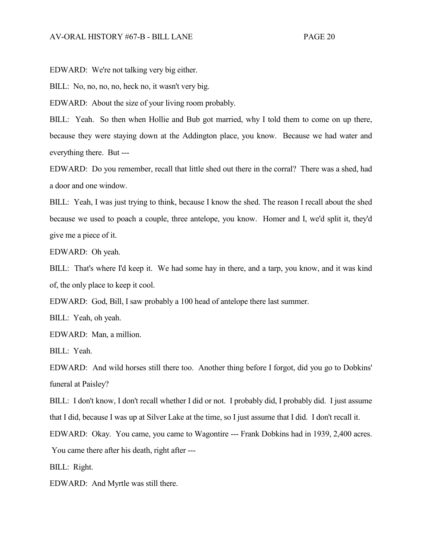EDWARD: We're not talking very big either.

BILL: No, no, no, no, heck no, it wasn't very big.

EDWARD: About the size of your living room probably.

BILL: Yeah. So then when Hollie and Bub got married, why I told them to come on up there, because they were staying down at the Addington place, you know. Because we had water and everything there. But ---

EDWARD: Do you remember, recall that little shed out there in the corral? There was a shed, had a door and one window.

BILL: Yeah, I was just trying to think, because I know the shed. The reason I recall about the shed because we used to poach a couple, three antelope, you know. Homer and I, we'd split it, they'd give me a piece of it.

EDWARD: Oh yeah.

BILL: That's where I'd keep it. We had some hay in there, and a tarp, you know, and it was kind of, the only place to keep it cool.

EDWARD: God, Bill, I saw probably a 100 head of antelope there last summer.

BILL: Yeah, oh yeah.

EDWARD: Man, a million.

BILL: Yeah.

EDWARD: And wild horses still there too. Another thing before I forgot, did you go to Dobkins' funeral at Paisley?

BILL: I don't know, I don't recall whether I did or not. I probably did, I probably did. I just assume that I did, because I was up at Silver Lake at the time, so I just assume that I did. I don't recall it.

EDWARD: Okay. You came, you came to Wagontire --- Frank Dobkins had in 1939, 2,400 acres. You came there after his death, right after ---

BILL: Right.

EDWARD: And Myrtle was still there.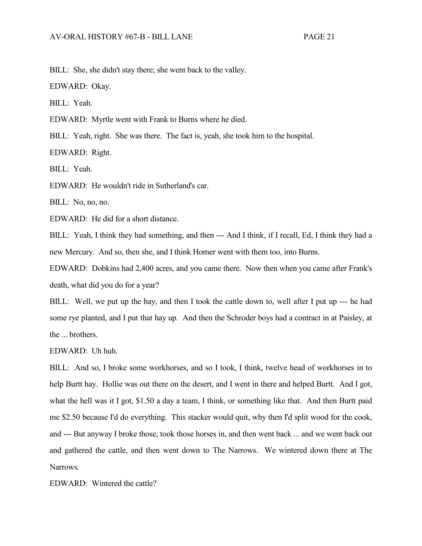BILL: She, she didn't stay there; she went back to the valley.

EDWARD: Okay.

BILL: Yeah.

EDWARD: Myrtle went with Frank to Burns where he died.

BILL: Yeah, right. She was there. The fact is, yeah, she took him to the hospital.

EDWARD: Right.

BILL: Yeah.

EDWARD: He wouldn't ride in Sutherland's car.

BILL: No, no, no.

EDWARD: He did for a short distance.

BILL: Yeah, I think they had something, and then --- And I think, if I recall, Ed, I think they had a new Mercury. And so, then she, and I think Homer went with them too, into Burns.

EDWARD: Dobkins had 2,400 acres, and you came there. Now then when you came after Frank's death, what did you do for a year?

BILL: Well, we put up the hay, and then I took the cattle down to, well after I put up --- he had some rye planted, and I put that hay up. And then the Schroder boys had a contract in at Paisley, at the ... brothers.

EDWARD: Uh huh.

BILL: And so, I broke some workhorses, and so I took, I think, twelve head of workhorses in to help Burtt hay. Hollie was out there on the desert, and I went in there and helped Burtt. And I got, what the hell was it I got, \$1.50 a day a team, I think, or something like that. And then Burtt paid me \$2.50 because I'd do everything. This stacker would quit, why then I'd split wood for the cook, and --- But anyway I broke those, took those horses in, and then went back ... and we went back out and gathered the cattle, and then went down to The Narrows. We wintered down there at The Narrows.

EDWARD: Wintered the cattle?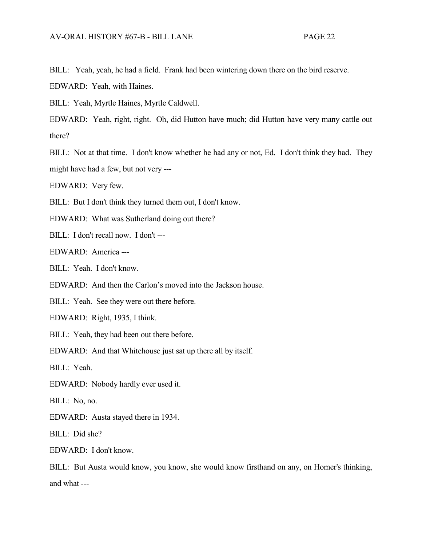BILL: Yeah, yeah, he had a field. Frank had been wintering down there on the bird reserve.

EDWARD: Yeah, with Haines.

BILL: Yeah, Myrtle Haines, Myrtle Caldwell.

EDWARD: Yeah, right, right. Oh, did Hutton have much; did Hutton have very many cattle out there?

BILL: Not at that time. I don't know whether he had any or not, Ed. I don't think they had. They might have had a few, but not very ---

EDWARD: Very few.

BILL: But I don't think they turned them out, I don't know.

EDWARD: What was Sutherland doing out there?

BILL: I don't recall now. I don't ---

EDWARD: America ---

BILL: Yeah. I don't know.

EDWARD: And then the Carlon's moved into the Jackson house.

BILL: Yeah. See they were out there before.

EDWARD: Right, 1935, I think.

BILL: Yeah, they had been out there before.

EDWARD: And that Whitehouse just sat up there all by itself.

BILL: Yeah.

EDWARD: Nobody hardly ever used it.

BILL: No, no.

EDWARD: Austa stayed there in 1934.

BILL: Did she?

EDWARD: I don't know.

BILL: But Austa would know, you know, she would know firsthand on any, on Homer's thinking, and what ---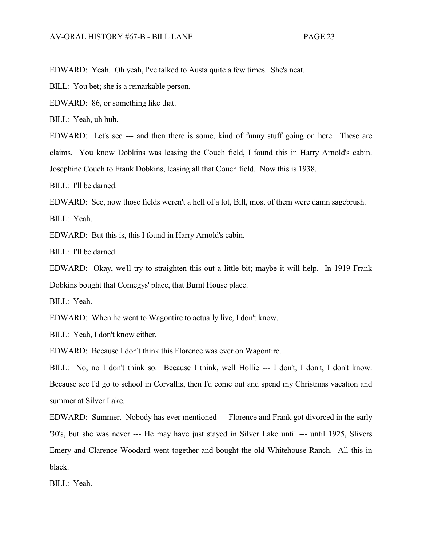EDWARD: Yeah. Oh yeah, I've talked to Austa quite a few times. She's neat.

BILL: You bet; she is a remarkable person.

EDWARD: 86, or something like that.

BILL: Yeah, uh huh.

EDWARD: Let's see --- and then there is some, kind of funny stuff going on here. These are claims. You know Dobkins was leasing the Couch field, I found this in Harry Arnold's cabin. Josephine Couch to Frank Dobkins, leasing all that Couch field. Now this is 1938.

BILL: I'll be darned.

EDWARD: See, now those fields weren't a hell of a lot, Bill, most of them were damn sagebrush.

BILL: Yeah.

EDWARD: But this is, this I found in Harry Arnold's cabin.

BILL: I'll be darned.

EDWARD: Okay, we'll try to straighten this out a little bit; maybe it will help. In 1919 Frank Dobkins bought that Comegys' place, that Burnt House place.

BILL: Yeah.

EDWARD: When he went to Wagontire to actually live, I don't know.

BILL: Yeah, I don't know either.

EDWARD: Because I don't think this Florence was ever on Wagontire.

BILL: No, no I don't think so. Because I think, well Hollie --- I don't, I don't, I don't know. Because see I'd go to school in Corvallis, then I'd come out and spend my Christmas vacation and summer at Silver Lake.

EDWARD: Summer. Nobody has ever mentioned --- Florence and Frank got divorced in the early '30's, but she was never --- He may have just stayed in Silver Lake until --- until 1925, Slivers Emery and Clarence Woodard went together and bought the old Whitehouse Ranch. All this in black.

BILL: Yeah.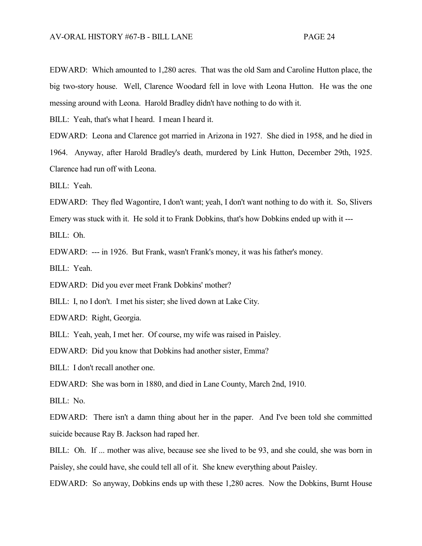EDWARD: Which amounted to 1,280 acres. That was the old Sam and Caroline Hutton place, the big two-story house. Well, Clarence Woodard fell in love with Leona Hutton. He was the one messing around with Leona. Harold Bradley didn't have nothing to do with it.

BILL: Yeah, that's what I heard. I mean I heard it.

EDWARD: Leona and Clarence got married in Arizona in 1927. She died in 1958, and he died in 1964. Anyway, after Harold Bradley's death, murdered by Link Hutton, December 29th, 1925. Clarence had run off with Leona.

BILL: Yeah.

EDWARD: They fled Wagontire, I don't want; yeah, I don't want nothing to do with it. So, Slivers Emery was stuck with it. He sold it to Frank Dobkins, that's how Dobkins ended up with it ---

BILL: Oh.

EDWARD: --- in 1926. But Frank, wasn't Frank's money, it was his father's money.

BILL: Yeah.

EDWARD: Did you ever meet Frank Dobkins' mother?

BILL: I, no I don't. I met his sister; she lived down at Lake City.

EDWARD: Right, Georgia.

BILL: Yeah, yeah, I met her. Of course, my wife was raised in Paisley.

EDWARD: Did you know that Dobkins had another sister, Emma?

BILL: I don't recall another one.

EDWARD: She was born in 1880, and died in Lane County, March 2nd, 1910.

BILL: No.

EDWARD: There isn't a damn thing about her in the paper. And I've been told she committed suicide because Ray B. Jackson had raped her.

BILL: Oh. If ... mother was alive, because see she lived to be 93, and she could, she was born in Paisley, she could have, she could tell all of it. She knew everything about Paisley.

EDWARD: So anyway, Dobkins ends up with these 1,280 acres. Now the Dobkins, Burnt House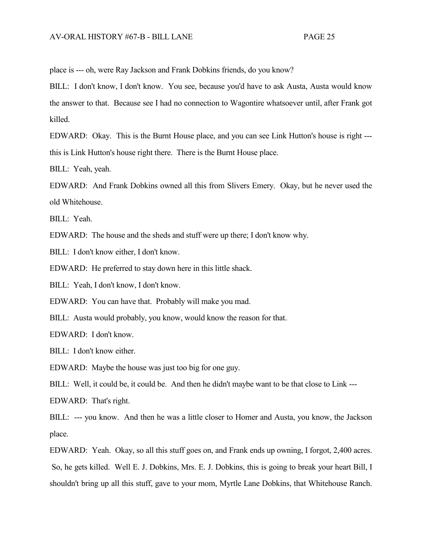place is --- oh, were Ray Jackson and Frank Dobkins friends, do you know?

BILL: I don't know, I don't know. You see, because you'd have to ask Austa, Austa would know the answer to that. Because see I had no connection to Wagontire whatsoever until, after Frank got killed.

EDWARD: Okay. This is the Burnt House place, and you can see Link Hutton's house is right -- this is Link Hutton's house right there. There is the Burnt House place.

BILL: Yeah, yeah.

EDWARD: And Frank Dobkins owned all this from Slivers Emery. Okay, but he never used the old Whitehouse.

BILL: Yeah.

EDWARD: The house and the sheds and stuff were up there; I don't know why.

BILL: I don't know either, I don't know.

EDWARD: He preferred to stay down here in this little shack.

BILL: Yeah, I don't know, I don't know.

EDWARD: You can have that. Probably will make you mad.

BILL: Austa would probably, you know, would know the reason for that.

EDWARD: I don't know.

BILL: I don't know either.

EDWARD: Maybe the house was just too big for one guy.

BILL: Well, it could be, it could be. And then he didn't maybe want to be that close to Link ---

EDWARD: That's right.

BILL: --- you know. And then he was a little closer to Homer and Austa, you know, the Jackson place.

EDWARD: Yeah. Okay, so all this stuff goes on, and Frank ends up owning, I forgot, 2,400 acres. So, he gets killed. Well E. J. Dobkins, Mrs. E. J. Dobkins, this is going to break your heart Bill, I shouldn't bring up all this stuff, gave to your mom, Myrtle Lane Dobkins, that Whitehouse Ranch.